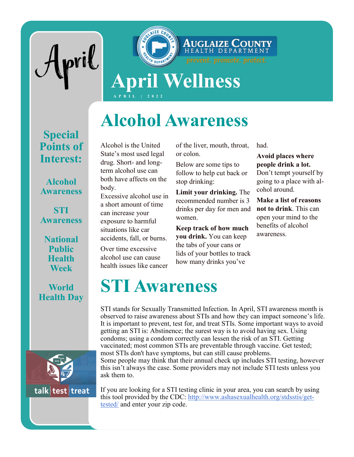



# **Alcohol Awareness**

### **Special Points of Interest:**

#### **Alcohol Awareness**

**STI Awareness**

**National Public Health Week**

#### **World Health Day**



Alcohol is the United State's most used legal drug. Short- and longterm alcohol use can both have affects on the body.

Excessive alcohol use in a short amount of time can increase your exposure to harmful situations like car accidents, fall, or burns.

Over time excessive alcohol use can cause health issues like cancer

ask them to.

of the liver, mouth, throat, or colon.

Below are some tips to follow to help cut back or stop drinking:

**Limit your drinking.** The recommended number is 3 drinks per day for men and women.

**Keep track of how much you drink.** You can keep the tabs of your cans or lids of your bottles to track how many drinks you've

had.

#### **Avoid places where people drink a lot.**

Don't tempt yourself by going to a place with alcohol around.

**Make a list of reasons not to drink**. This can open your mind to the benefits of alcohol awareness.

## **STI Awareness**

STI stands for Sexually Transmitted Infection. In April, STI awareness month is observed to raise awareness about STIs and how they can impact someone's life. It is important to prevent, test for, and treat STIs. Some important ways to avoid getting an STI is: Abstinence; the surest way is to avoid having sex. Using condoms; using a condom correctly can lessen the risk of an STI. Getting vaccinated; most common STIs are preventable through vaccine. Get tested; most STIs don't have symptoms, but can still cause problems. Some people may think that their annual check up includes STI testing, however this isn't always the case. Some providers may not include STI tests unless you

If you are looking for a STI testing clinic in your area, you can search by using this tool provided by the CDC: [http://www.ashasexualhealth.org/stdsstis/get](http://www.ashasexualhealth.org/stdsstis/get-tested/)[tested/](http://www.ashasexualhealth.org/stdsstis/get-tested/) and enter your zip code.